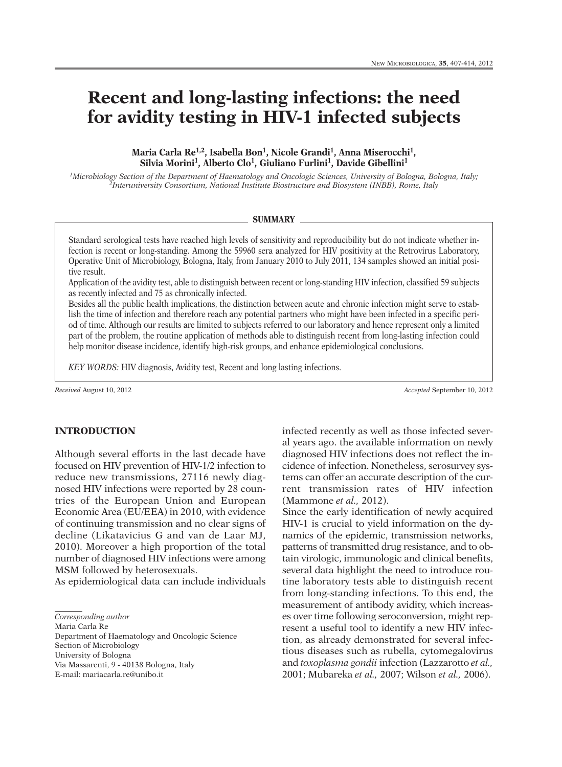# **Recent and long-lasting infections: the need for avidity testing in HIV-1 infected subjects**

**Maria Carla Re1,2, Isabella Bon1, Nicole Grandi 1, Anna Miserocchi 1, Silvia Morini 1, Alberto Clo1, Giuliano Furlini 1, Davide Gibellini 1**

*1Microbiology Section of the Department of Haematology and Oncologic Sciences, University of Bologna, Bologna, Italy; 2Interuniversity Consortium, National Institute Biostructure and Biosystem (INBB), Rome, Italy*

#### **SUMMARY**

Standard serological tests have reached high levels of sensitivity and reproducibility but do not indicate whether infection is recent or long-standing. Among the 59960 sera analyzed for HIV positivity at the Retrovirus Laboratory, Operative Unit of Microbiology, Bologna, Italy, from January 2010 to July 2011, 134 samples showed an initial positive result.

Application of the avidity test, able to distinguish between recent or long-standing HIV infection, classified 59 subjects as recently infected and 75 as chronically infected.

Besides all the public health implications, the distinction between acute and chronic infection might serve to establish the time of infection and therefore reach any potential partners who might have been infected in a specific period of time. Although our results are limited to subjects referred to our laboratory and hence represent only a limited part of the problem, the routine application of methods able to distinguish recent from long-lasting infection could help monitor disease incidence, identify high-risk groups, and enhance epidemiological conclusions.

*KEY WORDS:* HIV diagnosis, Avidity test, Recent and long lasting infections.

*Received* August 10, 2012 *Accepted* September 10, 2012

**INTRODUCTION**

Although several efforts in the last decade have focused on HIV prevention of HIV-1/2 infection to reduce new transmissions, 27116 newly diagnosed HIV infections were reported by 28 countries of the European Union and European Economic Area (EU/EEA) in 2010, with evidence of continuing transmission and no clear signs of decline (Likatavicius G and van de Laar MJ, 2010). Moreover a high proportion of the total number of diagnosed HIV infections were among MSM followed by heterosexuals.

As epidemiological data can include individuals

*Corresponding author*

Maria Carla Re Department of Haematology and Oncologic Science

Section of Microbiology

University of Bologna

Via Massarenti, 9 - 40138 Bologna, Italy

E-mail: mariacarla.re@unibo.it

infected recently as well as those infected several years ago. the available information on newly diagnosed HIV infections does not reflect the incidence of infection. Nonetheless, serosurvey systems can offer an accurate description of the current transmission rates of HIV infection (Mammone *et al.,* 2012).

Since the early identification of newly acquired HIV-1 is crucial to yield information on the dynamics of the epidemic, transmission networks, patterns of transmitted drug resistance, and to obtain virologic, immunologic and clinical benefits, several data highlight the need to introduce routine laboratory tests able to distinguish recent from long-standing infections. To this end, the measurement of antibody avidity, which increases over time following seroconversion, might represent a useful tool to identify a new HIV infection, as already demonstrated for several infectious diseases such as rubella, cytomegalovirus and *toxoplasma gondii* infection (Lazzarotto *et al.,* 2001; Mubareka *et al.,* 2007; Wilson *et al.,* 2006).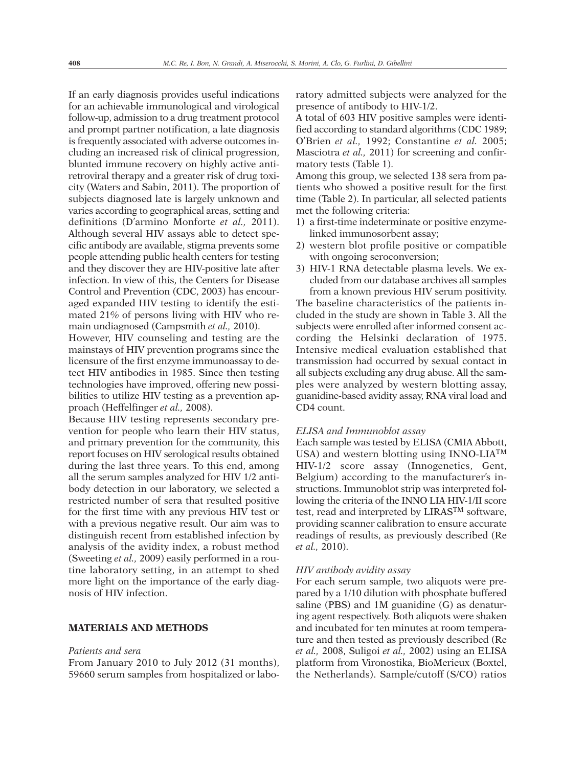If an early diagnosis provides useful indications for an achievable immunological and virological follow-up, admission to a drug treatment protocol and prompt partner notification, a late diagnosis is frequently associated with adverse outcomes including an increased risk of clinical progression, blunted immune recovery on highly active antiretroviral therapy and a greater risk of drug toxicity (Waters and Sabin, 2011). The proportion of subjects diagnosed late is largely unknown and varies according to geographical areas, setting and definitions (D'armino Monforte *et al.,* 2011). Although several HIV assays able to detect specific antibody are available, stigma prevents some people attending public health centers for testing and they discover they are HIV-positive late after infection. In view of this, the Centers for Disease Control and Prevention (CDC, 2003) has encouraged expanded HIV testing to identify the estimated 21% of persons living with HIV who remain undiagnosed (Campsmith *et al.,* 2010).

However, HIV counseling and testing are the mainstays of HIV prevention programs since the licensure of the first enzyme immunoassay to detect HIV antibodies in 1985. Since then testing technologies have improved, offering new possibilities to utilize HIV testing as a prevention approach (Heffelfinger *et al.,* 2008).

Because HIV testing represents secondary prevention for people who learn their HIV status, and primary prevention for the community, this report focuses on HIV serological results obtained during the last three years. To this end, among all the serum samples analyzed for HIV 1/2 antibody detection in our laboratory, we selected a restricted number of sera that resulted positive for the first time with any previous HIV test or with a previous negative result. Our aim was to distinguish recent from established infection by analysis of the avidity index, a robust method (Sweeting *et al.,* 2009) easily performed in a routine laboratory setting, in an attempt to shed more light on the importance of the early diagnosis of HIV infection.

# **MATERIALS AND METHODS**

#### *Patients and sera*

From January 2010 to July 2012 (31 months), 59660 serum samples from hospitalized or laboratory admitted subjects were analyzed for the presence of antibody to HIV-1/2.

A total of 603 HIV positive samples were identified according to standard algorithms (CDC 1989; O'Brien *et al.,* 1992; Constantine *et al.* 2005; Masciotra *et al.,* 2011) for screening and confirmatory tests (Table 1).

Among this group, we selected 138 sera from patients who showed a positive result for the first time (Table 2). In particular, all selected patients met the following criteria:

- 1) a first-time indeterminate or positive enzymelinked immunosorbent assay;
- 2) western blot profile positive or compatible with ongoing seroconversion;
- 3) HIV-1 RNA detectable plasma levels. We excluded from our database archives all samples from a known previous HIV serum positivity.

The baseline characteristics of the patients included in the study are shown in Table 3. All the subjects were enrolled after informed consent according the Helsinki declaration of 1975. Intensive medical evaluation established that transmission had occurred by sexual contact in all subjects excluding any drug abuse. All the samples were analyzed by western blotting assay, guanidine-based avidity assay, RNA viral load and CD4 count.

#### *ELISA and Immunoblot assay*

Each sample was tested by ELISA (CMIA Abbott, USA) and western blotting using INNO-LIATM HIV-1/2 score assay (Innogenetics, Gent, Belgium) according to the manufacturer's instructions. Immunoblot strip was interpreted following the criteria of the INNO LIA HIV-1/II score test, read and interpreted by LIRAS<sup>TM</sup> software, providing scanner calibration to ensure accurate readings of results, as previously described (Re *et al.,* 2010).

#### *HIV antibody avidity assay*

For each serum sample, two aliquots were prepared by a 1/10 dilution with phosphate buffered saline (PBS) and 1M guanidine (G) as denaturing agent respectively. Both aliquots were shaken and incubated for ten minutes at room temperature and then tested as previously described (Re *et al.,* 2008, Suligoi *et al.,* 2002) using an ELISA platform from Vironostika, BioMerieux (Boxtel, the Netherlands). Sample/cutoff (S/CO) ratios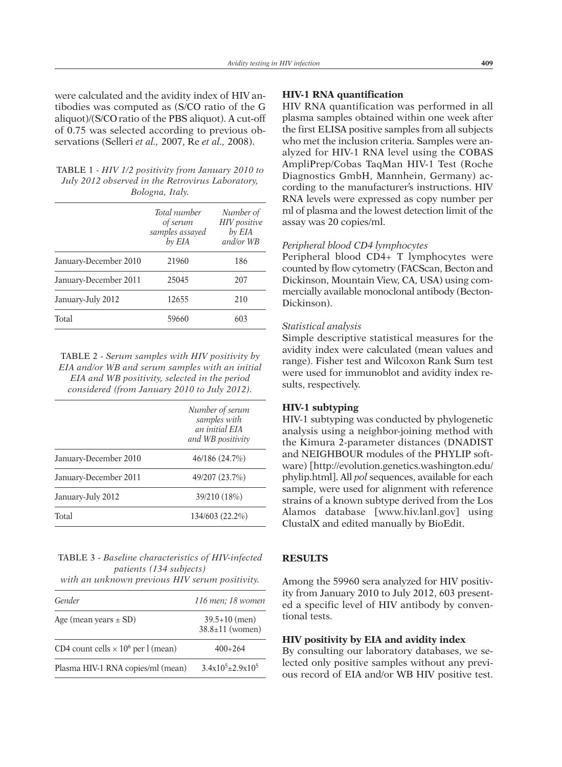were calculated and the avidity index of HIV antibodies was computed as (S/CO ratio of the G aliquot)/(S/COratio of the PBS aliquot). A cut-off of 0.75 was selected according to previous observations (Selleri *et al.,* 2007, Re *et al.,* 2008).

| TABLE 1 - HIV 1/2 positivity from January 2010 to |
|---------------------------------------------------|
| July 2012 observed in the Retrovirus Laboratory,  |
| Bologna, Italy.                                   |

|                       | Total number<br>of serum<br>samples assayed<br>by EIA | Number of<br>HIV positive<br>by EIA<br>and/or WB |
|-----------------------|-------------------------------------------------------|--------------------------------------------------|
| January-December 2010 | 21960                                                 | 186                                              |
| January-December 2011 | 25045                                                 | 207                                              |
| January-July 2012     | 12655                                                 | 210                                              |
| Total                 | 59660                                                 | 603                                              |
|                       |                                                       |                                                  |

TABLE 2 - *Serum samples with HIV positivity by EIA and/or WB and serum samples with an initial EIA and WB positivity, selected in the period considered (from January 2010 to July 2012).*

|                       | Number of serum<br>samples with<br>an initial FIA<br>and WB positivity |
|-----------------------|------------------------------------------------------------------------|
| January-December 2010 | 46/186 (24.7%)                                                         |
| January-December 2011 | 49/207 (23.7%)                                                         |
| January-July 2012     | 39/210 (18%)                                                           |
| Total                 | 134/603 (22.2%)                                                        |

# TABLE 3 - *Baseline characteristics of HIV-infected patients (134 subjects)*

*with an unknown previous HIV serum positivity.*

| Gender                                                | 116 men: 18 women                        |
|-------------------------------------------------------|------------------------------------------|
| Age (mean years $\pm$ SD)                             | $39.5+10$ (men)<br>$38.8 \pm 11$ (women) |
| CD4 count cells $\times$ 10 <sup>6</sup> per l (mean) | $400+264$                                |
| Plasma HIV-1 RNA copies/ml (mean)                     | $3.4x10^5+2.9x10^5$                      |

# **HIV-1 RNA quantification**

HIV RNA quantification was performed in all plasma samples obtained within one week after the first ELISA positive samples from all subjects who met the inclusion criteria. Samples were analyzed for HIV-1 RNA level using the COBAS AmpliPrep/Cobas TaqMan HIV-1 Test (Roche Diagnostics GmbH, Mannhein, Germany) according to the manufacturer's instructions. HIV RNA levels were expressed as copy number per ml of plasma and the lowest detection limit of the assay was 20 copies/ml.

# *Peripheral blood CD4 lymphocytes*

Peripheral blood CD4+ T lymphocytes were counted by flow cytometry (FACScan, Becton and Dickinson, Mountain View, CA, USA) using commercially available monoclonal antibody (Becton-Dickinson).

# *Statistical analysis*

Simple descriptive statistical measures for the avidity index were calculated (mean values and range). Fisher test and Wilcoxon Rank Sum test were used for immunoblot and avidity index results, respectively.

# **HIV-1 subtyping**

HIV-1 subtyping was conducted by phylogenetic analysis using a neighbor-joining method with the Kimura 2-parameter distances (DNADIST and NEIGHBOUR modules of the PHYLIP software) [http://evolution.genetics.washington.edu/ phylip.html]. All *pol* sequences, available for each sample, were used for alignment with reference strains of a known subtype derived from the Los Alamos database [www.hiv.lanl.gov] using ClustalX and edited manually by BioEdit.

# **RESULTS**

Among the 59960 sera analyzed for HIV positivity from January 2010 to July 2012, 603 presented a specific level of HIV antibody by conventional tests.

#### **HIV positivity by EIA and avidity index**

By consulting our laboratory databases, we selected only positive samples without any previous record of EIA and/or WB HIV positive test.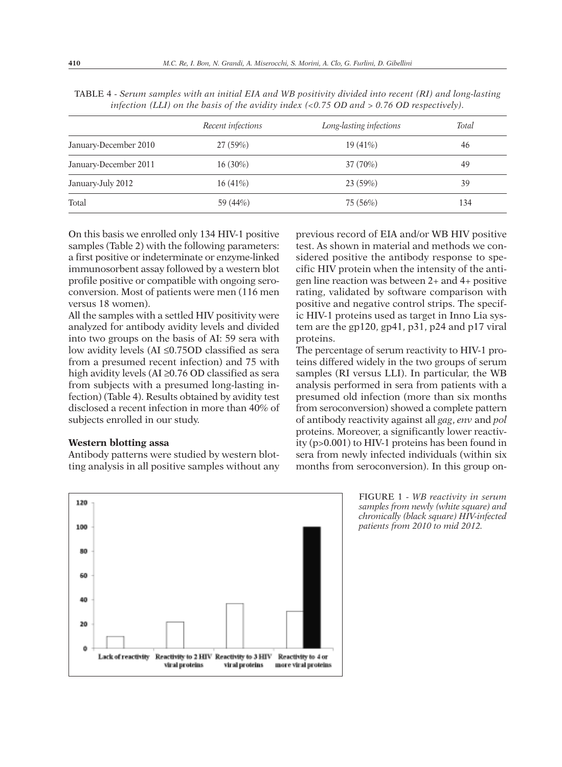|                       | Recent infections | Long-lasting infections | Total |
|-----------------------|-------------------|-------------------------|-------|
| January-December 2010 | 27(59%)           | 19(41%)                 | 46    |
| January-December 2011 | $16(30\%)$        | 37(70%)                 | 49    |
| January-July 2012     | 16(41%)           | 23(59%)                 | 39    |
| Total                 | 59 (44%)          | 75 (56%)                | 134   |

TABLE 4 - *Serum samples with an initial EIA and WB positivity divided into recent (RI) and long-lasting infection (LLI) on the basis of the avidity index (<0.75 OD and > 0.76 OD respectively).*

On this basis we enrolled only 134 HIV-1 positive samples (Table 2) with the following parameters: a first positive or indeterminate or enzyme-linked immunosorbent assay followed by a western blot profile positive or compatible with ongoing seroconversion. Most of patients were men (116 men versus 18 women).

All the samples with a settled HIV positivity were analyzed for antibody avidity levels and divided into two groups on the basis of AI: 59 sera with low avidity levels (AI ≤0.75OD classified as sera from a presumed recent infection) and 75 with high avidity levels (AI ≥0.76 OD classified as sera from subjects with a presumed long-lasting infection) (Table 4). Results obtained by avidity test disclosed a recent infection in more than 40% of subjects enrolled in our study.

#### **Western blotting assa**

Antibody patterns were studied by western blotting analysis in all positive samples without any

previous record of EIA and/or WB HIV positive test. As shown in material and methods we considered positive the antibody response to specific HIV protein when the intensity of the antigen line reaction was between 2+ and 4+ positive rating, validated by software comparison with positive and negative control strips. The specific HIV-1 proteins used as target in Inno Lia system are the gp120, gp41, p31, p24 and p17 viral proteins.

The percentage of serum reactivity to HIV-1 proteins differed widely in the two groups of serum samples (RI versus LLI). In particular, the WB analysis performed in sera from patients with a presumed old infection (more than six months from seroconversion) showed a complete pattern of antibody reactivity against all *gag*, *env* and *pol* proteins. Moreover, a significantly lower reactivity (p>0.001) to HIV-1 proteins has been found in sera from newly infected individuals (within six months from seroconversion). In this group on-



FIGURE 1 - *WB reactivity in serum samples from newly (white square) and chronically (black square) HIV-infected patients from 2010 to mid 2012.*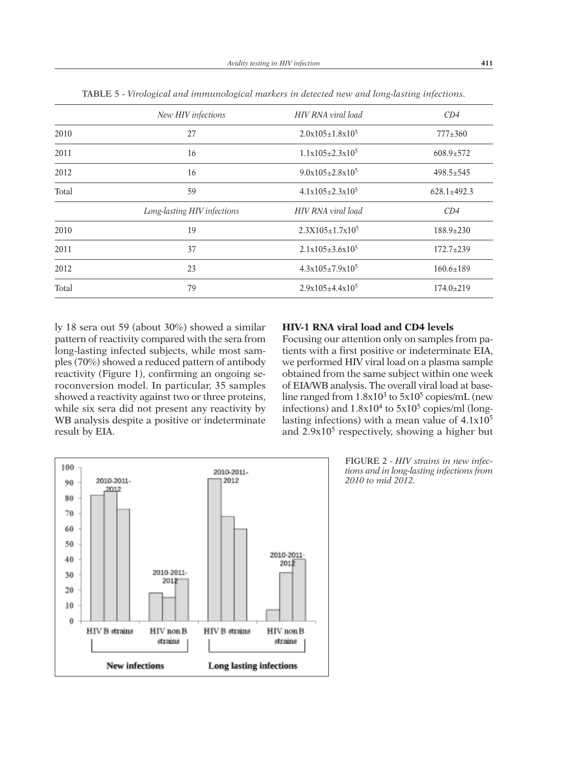|       | New HIV infections          | HIV RNA viral load     | CD4               |
|-------|-----------------------------|------------------------|-------------------|
| 2010  | 27                          | $2.0x105 \pm 1.8x10^5$ | $777 \pm 360$     |
| 2011  | 16                          | $1.1x105 \pm 2.3x10^5$ | $608.9 \pm 572$   |
| 2012  | 16                          | $9.0x105+2.8x10^5$     | $498.5 \pm 545$   |
| Total | 59                          | $4.1x105+2.3x105$      | $628.1 \pm 492.3$ |
|       | Long-lasting HIV infections | HIV RNA viral load     | CD4               |
| 2010  | 19                          | $2.3X105 \pm 1.7x10^5$ | $188.9 \pm 230$   |
| 2011  | 37                          | $2.1x105 \pm 3.6x10^5$ | $172.7 \pm 239$   |
| 2012  | 23                          | $4.3x105+7.9x10^5$     | $160.6 \pm 189$   |
| Total | 79                          | $2.9x105+4.4x10^5$     | $174.0 \pm 219$   |

TABLE 5 - *Virological and immunological markers in detected new and long-lasting infections.*

ly 18 sera out 59 (about 30%) showed a similar pattern of reactivity compared with the sera from long-lasting infected subjects, while most samples (70%) showed a reduced pattern of antibody reactivity (Figure 1), confirming an ongoing seroconversion model. In particular, 35 samples showed a reactivity against two or three proteins, while six sera did not present any reactivity by WB analysis despite a positive or indeterminate result by EIA.

# **HIV-1 RNA viral load and CD4 levels**

Focusing our attention only on samples from patients with a first positive or indeterminate EIA, we performed HIV viral load on a plasma sample obtained from the same subject within one week of EIA/WB analysis. The overall viral load at baseline ranged from  $1.8x10^3$  to  $5x10^5$  copies/mL (new infections) and  $1.8x10^4$  to  $5x10^5$  copies/ml (longlasting infections) with a mean value of  $4.1x10<sup>5</sup>$ and  $2.9x10<sup>5</sup>$  respectively, showing a higher but



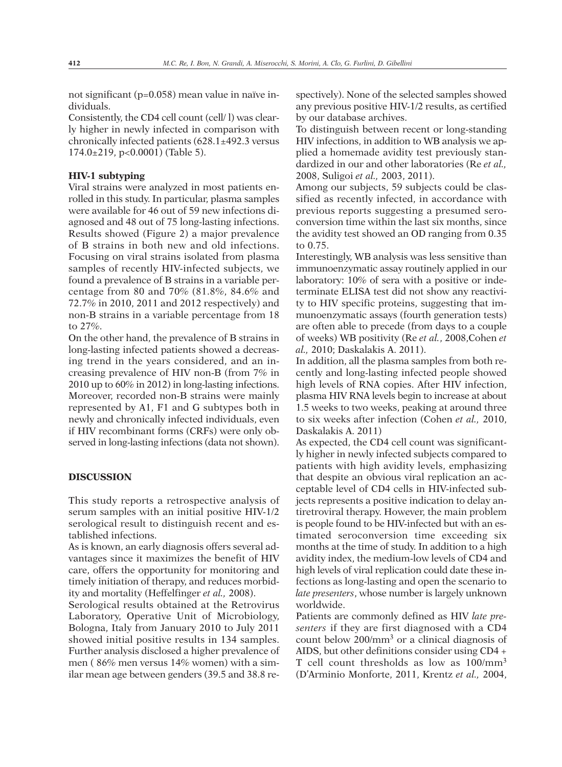not significant (p=0.058) mean value in naïve individuals.

Consistently, the CD4 cell count (cell/ l) was clearly higher in newly infected in comparison with chronically infected patients (628.1±492.3 versus 174.0±219, p<0.0001) (Table 5).

# **HIV-1 subtyping**

Viral strains were analyzed in most patients enrolled in this study. In particular, plasma samples were available for 46 out of 59 new infections diagnosed and 48 out of 75 long-lasting infections. Results showed (Figure 2) a major prevalence of B strains in both new and old infections. Focusing on viral strains isolated from plasma samples of recently HIV-infected subjects, we found a prevalence of B strains in a variable percentage from 80 and 70% (81.8%, 84.6% and 72.7% in 2010, 2011 and 2012 respectively) and non-B strains in a variable percentage from 18 to 27%.

On the other hand, the prevalence of B strains in long-lasting infected patients showed a decreasing trend in the years considered, and an increasing prevalence of HIV non-B (from 7% in 2010 up to 60% in 2012) in long-lasting infections. Moreover, recorded non-B strains were mainly represented by A1, F1 and G subtypes both in newly and chronically infected individuals, even if HIV recombinant forms (CRFs) were only observed in long-lasting infections (data not shown).

# **DISCUSSION**

This study reports a retrospective analysis of serum samples with an initial positive HIV-1/2 serological result to distinguish recent and established infections.

As is known, an early diagnosis offers several advantages since it maximizes the benefit of HIV care, offers the opportunity for monitoring and timely initiation of therapy, and reduces morbidity and mortality (Heffelfinger *et al.,* 2008).

Serological results obtained at the Retrovirus Laboratory, Operative Unit of Microbiology, Bologna, Italy from January 2010 to July 2011 showed initial positive results in 134 samples. Further analysis disclosed a higher prevalence of men ( 86% men versus 14% women) with a similar mean age between genders (39.5 and 38.8 respectively). None of the selected samples showed any previous positive HIV-1/2 results, as certified by our database archives.

To distinguish between recent or long-standing HIV infections, in addition to WB analysis we applied a homemade avidity test previously standardized in our and other laboratories (Re *et al.,* 2008, Suligoi *et al.,* 2003, 2011).

Among our subjects, 59 subjects could be classified as recently infected, in accordance with previous reports suggesting a presumed seroconversion time within the last six months, since the avidity test showed an OD ranging from 0.35 to 0.75.

Interestingly, WB analysis was less sensitive than immunoenzymatic assay routinely applied in our laboratory: 10% of sera with a positive or indeterminate ELISA test did not show any reactivity to HIV specific proteins, suggesting that immunoenzymatic assays (fourth generation tests) are often able to precede (from days to a couple of weeks) WB positivity (Re *et al.*, 2008,Cohen *et al.,* 2010; Daskalakis A. 2011).

In addition, all the plasma samples from both recently and long-lasting infected people showed high levels of RNA copies. After HIV infection, plasma HIV RNA levels begin to increase at about 1.5 weeks to two weeks, peaking at around three to six weeks after infection (Cohen *et al.,* 2010, Daskalakis A. 2011)

As expected, the CD4 cell count was significantly higher in newly infected subjects compared to patients with high avidity levels, emphasizing that despite an obvious viral replication an acceptable level of CD4 cells in HIV-infected subjects represents a positive indication to delay antiretroviral therapy. However, the main problem is people found to be HIV-infected but with an estimated seroconversion time exceeding six months at the time of study. In addition to a high avidity index, the medium-low levels of CD4 and high levels of viral replication could date these infections as long-lasting and open the scenario to *late presenters*, whose number is largely unknown worldwide.

Patients are commonly defined as HIV *late presenters* if they are first diagnosed with a CD4 count below 200/mm3 or a clinical diagnosis of AIDS, but other definitions consider using CD4 + T cell count thresholds as low as 100/mm3 (D'Arminio Monforte, 2011, Krentz *et al.,* 2004,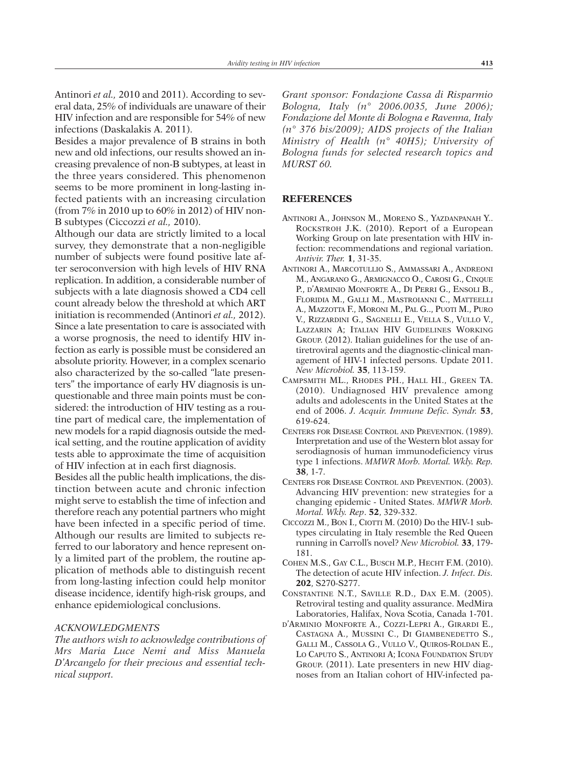Antinori *et al.,* 2010 and 2011). According to several data, 25% of individuals are unaware of their HIV infection and are responsible for 54% of new infections (Daskalakis A. 2011).

Besides a major prevalence of B strains in both new and old infections, our results showed an increasing prevalence of non-B subtypes, at least in the three years considered. This phenomenon seems to be more prominent in long-lasting infected patients with an increasing circulation (from 7% in 2010 up to 60% in 2012) of HIV non-B subtypes (Ciccozzi *et al.,* 2010).

Although our data are strictly limited to a local survey, they demonstrate that a non-negligible number of subjects were found positive late after seroconversion with high levels of HIV RNA replication. In addition, a considerable number of subjects with a late diagnosis showed a CD4 cell count already below the threshold at which ART initiation is recommended (Antinori *et al.,* 2012). Since a late presentation to care is associated with a worse prognosis, the need to identify HIV infection as early is possible must be considered an absolute priority. However, in a complex scenario also characterized by the so-called "late presenters" the importance of early HV diagnosis is unquestionable and three main points must be considered: the introduction of HIV testing as a routine part of medical care, the implementation of new models for a rapid diagnosis outside the medical setting, and the routine application of avidity tests able to approximate the time of acquisition of HIV infection at in each first diagnosis.

Besides all the public health implications, the distinction between acute and chronic infection might serve to establish the time of infection and therefore reach any potential partners who might have been infected in a specific period of time. Although our results are limited to subjects referred to our laboratory and hence represent only a limited part of the problem, the routine application of methods able to distinguish recent from long-lasting infection could help monitor disease incidence, identify high-risk groups, and enhance epidemiological conclusions.

#### *ACKNOWLEDGMENTS*

*The authors wish to acknowledge contributions of Mrs Maria Luce Nemi and Miss Manuela D'Arcangelo for their precious and essential technical support.*

*Grant sponsor: Fondazione Cassa di Risparmio Bologna, Italy (n° 2006.0035, June 2006); Fondazione del Monte di Bologna e Ravenna, Italy (n° 376 bis/2009); AIDS projects of the Italian Ministry of Health (n° 40H5); University of Bologna funds for selected research topics and MURST 60.*

#### **REFERENCES**

- ANTINORI A., JOHNSON M., MORENO S., YAZDANPANAH Y.. ROCKSTROH J.K. (2010). Report of a European Working Group on late presentation with HIV infection: recommendations and regional variation. *Antivir. Ther.* **1**, 31-35.
- ANTINORI A., MARCOTULLIO S., AMMASSARI A., ANDREONI M., ANGARANO G., ARMIGNACCO O., CAROSI G., CINQUE P., D'ARMINIO MONFORTE A., DI PERRI G., ENSOLI B., FLORIDIA M., GALLI M., MASTROIANNI C., MATTEELLI A., MAZZOTTA F., MORONI M., PAL G.., PUOTI M., PURO V., RIZZARDINI G., SAGNELLI E., VELLA S., VULLO V., LAZZARIN A; ITALIAN HIV GUIDELINES WORKING GROUP. (2012). Italian guidelines for the use of antiretroviral agents and the diagnostic-clinical management of HIV-1 infected persons. Update 2011. *New Microbiol.* **35**, 113-159.
- CAMPSMITH ML., RHODES PH., HALL HI., GREEN TA. (2010). Undiagnosed HIV prevalence among adults and adolescents in the United States at the end of 2006. *J. Acquir. Immune Defic. Syndr.* **53**, 619-624.
- CENTERS FOR DISEASE CONTROL AND PREVENTION. (1989). Interpretation and use of the Western blot assay for serodiagnosis of human immunodeficiency virus type 1 infections. *MMWR Morb. Mortal. Wkly. Rep.* **38**, 1-7.
- CENTERS FOR DISEASE CONTROL AND PREVENTION. (2003). Advancing HIV prevention: new strategies for a changing epidemic - United States. *MMWR Morb. Mortal. Wkly. Rep*. **52**, 329-332.
- CICCOZZI M., BON I., CIOTTI M. (2010) Do the HIV-1 subtypes circulating in Italy resemble the Red Queen running in Carroll's novel? *New Microbiol.* **33**, 179- 181.
- COHEN M.S., GAY C.L., BUSCH M.P., HECHT F.M. (2010). The detection of acute HIV infection. *J. Infect. Dis.* **202**, S270-S277.
- CONSTANTINE N.T., SAVILLE R.D., DAX E.M. (2005). Retroviral testing and quality assurance. MedMira Laboratories, Halifax, Nova Scotia, Canada 1-701.
- D'ARMINIO MONFORTE A., COZZI-LEPRI A., GIRARDI E., CASTAGNA A., MUSSINI C., DI GIAMBENEDETTO S., GALLI M., CASSOLA G., VULLO V., QUIROS-ROLDAN E., LO CAPUTO S., ANTINORI A; ICONA FOUNDATION STUDY GROUP. (2011). Late presenters in new HIV diagnoses from an Italian cohort of HIV-infected pa-